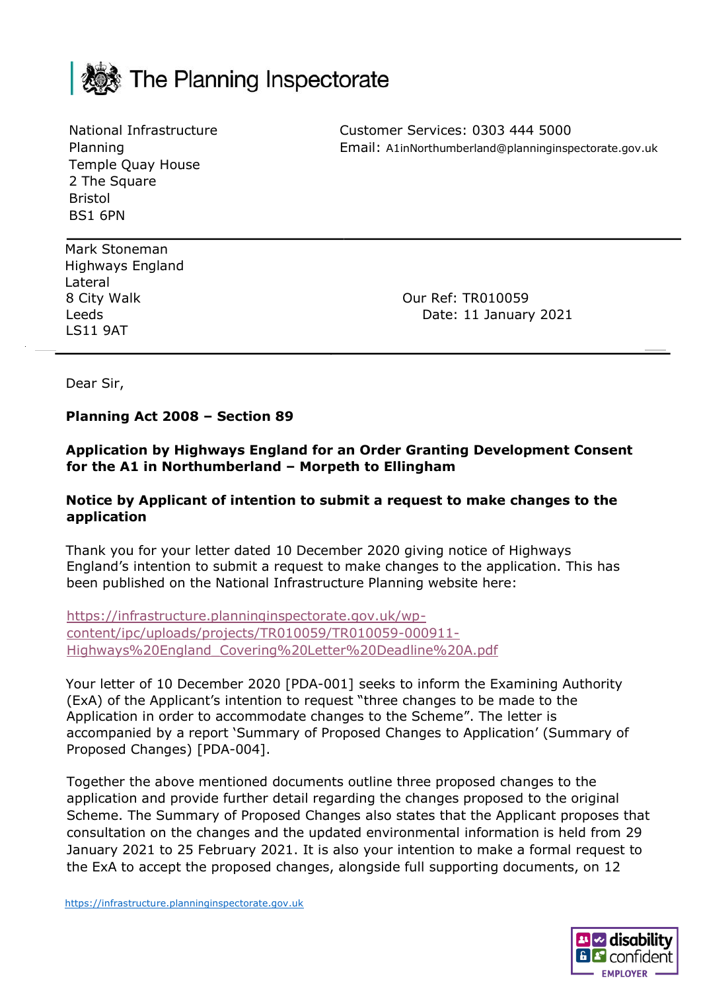

National Infrastructure Planning Temple Quay House 2 The Square Bristol BS1 6PN

Customer Services: 0303 444 5000 Email: A1inNorthumberland@planninginspectorate.gov.uk

Mark Stoneman Highways England Lateral LS11 9AT

8 City Walk **8 City Walk** Leeds **Date: 11 January 2021** 

Dear Sir,

#### **Planning Act 2008 – Section 89**

**Application by Highways England for an Order Granting Development Consent for the A1 in Northumberland – Morpeth to Ellingham**

#### **Notice by Applicant of intention to submit a request to make changes to the application**

Thank you for your letter dated 10 December 2020 giving notice of Highways England's intention to submit a request to make changes to the application. This has been published on the National Infrastructure Planning website here:

[https://infrastructure.planninginspectorate.gov.uk/wp](https://infrastructure.planninginspectorate.gov.uk/wp-content/ipc/uploads/projects/TR010059/TR010059-000911-Highways%20England_Covering%20Letter%20Deadline%20A.pdf)[content/ipc/uploads/projects/TR010059/TR010059-000911-](https://infrastructure.planninginspectorate.gov.uk/wp-content/ipc/uploads/projects/TR010059/TR010059-000911-Highways%20England_Covering%20Letter%20Deadline%20A.pdf) [Highways%20England\\_Covering%20Letter%20Deadline%20A.pdf](https://infrastructure.planninginspectorate.gov.uk/wp-content/ipc/uploads/projects/TR010059/TR010059-000911-Highways%20England_Covering%20Letter%20Deadline%20A.pdf)

Your letter of 10 December 2020 [PDA-001] seeks to inform the Examining Authority (ExA) of the Applicant's intention to request "three changes to be made to the Application in order to accommodate changes to the Scheme". The letter is accompanied by a report 'Summary of Proposed Changes to Application' (Summary of Proposed Changes) [PDA-004].

Together the above mentioned documents outline three proposed changes to the application and provide further detail regarding the changes proposed to the original Scheme. The Summary of Proposed Changes also states that the Applicant proposes that consultation on the changes and the updated environmental information is held from 29 January 2021 to 25 February 2021. It is also your intention to make a formal request to the ExA to accept the proposed changes, alongside full supporting documents, on 12

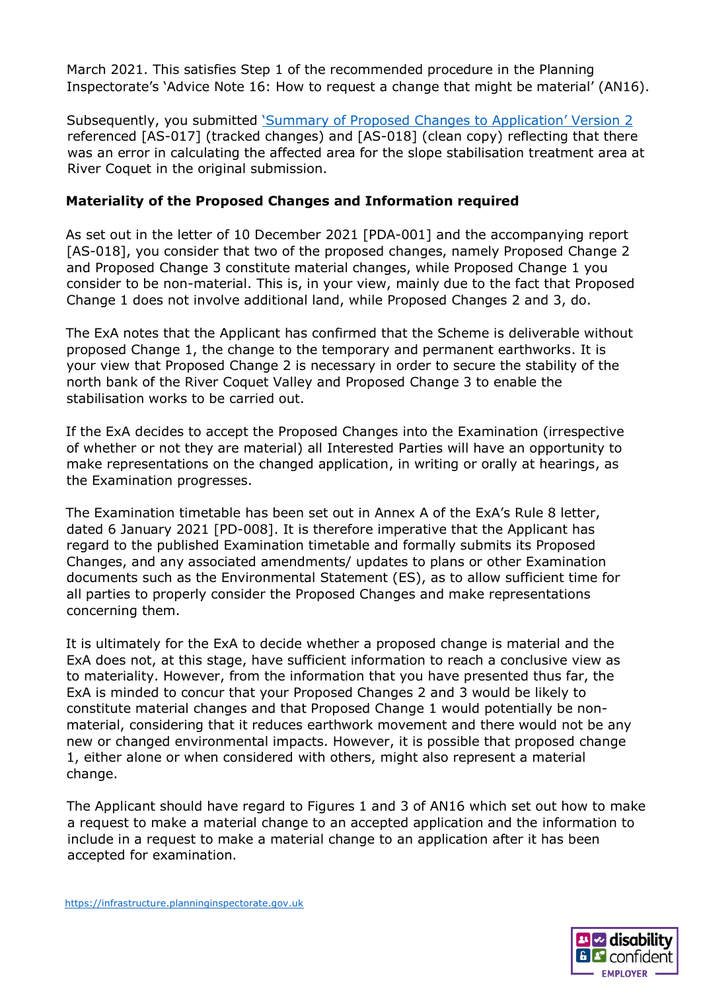March 2021. This satisfies Step 1 of the recommended procedure in the Planning Inspectorate's 'Advice Note 16: How to request a change that might be material' (AN16).

Subsequently, you submitted *Summary of Proposed Changes to Application' Version 2* referenced [AS-017] (tracked changes) and [AS-018] (clean copy) reflecting that there was an error in calculating the affected area for the slope stabilisation treatment area at River Coquet in the original submission.

## **Materiality of the Proposed Changes and Information required**

As set out in the letter of 10 December 2021 [PDA-001] and the accompanying report [AS-018], you consider that two of the proposed changes, namely Proposed Change 2 and Proposed Change 3 constitute material changes, while Proposed Change 1 you consider to be non-material. This is, in your view, mainly due to the fact that Proposed Change 1 does not involve additional land, while Proposed Changes 2 and 3, do.

The ExA notes that the Applicant has confirmed that the Scheme is deliverable without proposed Change 1, the change to the temporary and permanent earthworks. It is your view that Proposed Change 2 is necessary in order to secure the stability of the north bank of the River Coquet Valley and Proposed Change 3 to enable the stabilisation works to be carried out.

If the ExA decides to accept the Proposed Changes into the Examination (irrespective of whether or not they are material) all Interested Parties will have an opportunity to make representations on the changed application, in writing or orally at hearings, as the Examination progresses.

The Examination timetable has been set out in Annex A of the ExA's Rule 8 letter, dated 6 January 2021 [PD-008]. It is therefore imperative that the Applicant has regard to the published Examination timetable and formally submits its Proposed Changes, and any associated amendments/ updates to plans or other Examination documents such as the Environmental Statement (ES), as to allow sufficient time for all parties to properly consider the Proposed Changes and make representations concerning them.

It is ultimately for the ExA to decide whether a proposed change is material and the ExA does not, at this stage, have sufficient information to reach a conclusive view as to materiality. However, from the information that you have presented thus far, the ExA is minded to concur that your Proposed Changes 2 and 3 would be likely to constitute material changes and that Proposed Change 1 would potentially be nonmaterial, considering that it reduces earthwork movement and there would not be any new or changed environmental impacts. However, it is possible that proposed change 1, either alone or when considered with others, might also represent a material change.

The Applicant should have regard to Figures 1 and 3 of AN16 which set out how to make a request to make a material change to an accepted application and the information to include in a request to make a material change to an application after it has been accepted for examination.